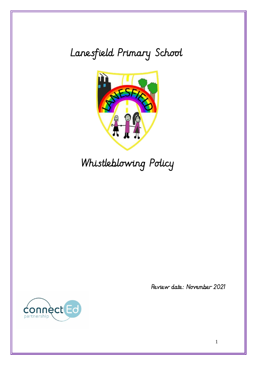# Lanesfield Primary School



Whistleblowing Policy



Review date: November 2021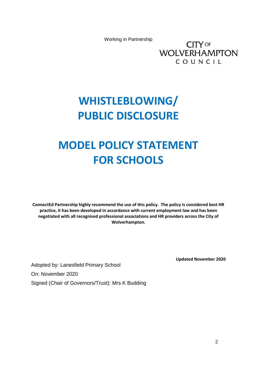Working in Partnership

**CITY OF WOLVERHAMPTON** COUNCIL

# **WHISTLEBLOWING/ PUBLIC DISCLOSURE**

# **MODEL POLICY STATEMENT FOR SCHOOLS**

**ConnectEd Partnership highly recommend the use of this policy. The policy is considered best HR practice, it has been developed in accordance with current employment law and has been negotiated with all recognised professional associations and HR providers across the City of Wolverhampton.**

**Updated November 2020**

Adopted by: Lanesfield Primary School On: November 2020 Signed (Chair of Governors/Trust): Mrs K Budding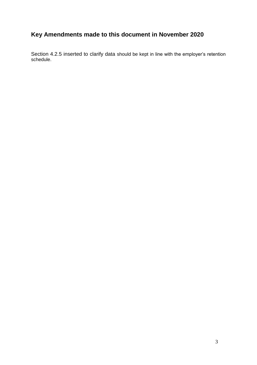## **Key Amendments made to this document in November 2020**

Section 4.2.5 inserted to clarify data should be kept in line with the employer's retention schedule.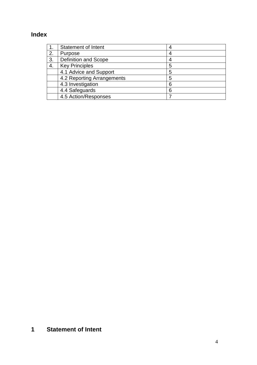## **Index**

|    | <b>Statement of Intent</b> | 4 |
|----|----------------------------|---|
| 2. | Purpose                    | 4 |
| 3. | Definition and Scope       | 4 |
| 4. | <b>Key Principles</b>      | 5 |
|    | 4.1 Advice and Support     | 5 |
|    | 4.2 Reporting Arrangements | 5 |
|    | 4.3 Investigation          | 6 |
|    | 4.4 Safeguards             | 6 |
|    | 4.5 Action/Responses       |   |

## **1 Statement of Intent**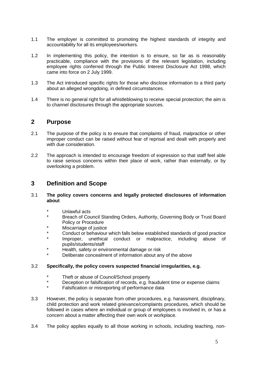- 1.1 The employer is committed to promoting the highest standards of integrity and accountability for all its employees/workers.
- 1.2 In implementing this policy, the intention is to ensure, so far as is reasonably practicable, compliance with the provisions of the relevant legislation, including employee rights conferred through the Public Interest Disclosure Act 1998, which came into force on 2 July 1999.
- 1.3 The Act introduced specific rights for those who disclose information to a third party about an alleged wrongdoing, in defined circumstances.
- 1.4 There is no general right for all whistleblowing to receive special protection; the aim is to channel disclosures through the appropriate sources.

### **2 Purpose**

- 2.1 The purpose of the policy is to ensure that complaints of fraud, malpractice or other improper conduct can be raised without fear of reprisal and dealt with properly and with due consideration.
- 2.2 The approach is intended to encourage freedom of expression so that staff feel able to raise serious concerns within their place of work, rather than externally, or by overlooking a problem.

### **3 Definition and Scope**

- 3.1 **The policy covers concerns and legally protected disclosures of information about**
	- Unlawful acts
	- Breach of Council Standing Orders, Authority, Governing Body or Trust Board Policy or Procedure
	- Miscarriage of justice
	- Conduct or behaviour which falls below established standards of good practice
	- Improper, unethical conduct or malpractice, including abuse of pupils/students/staff
	- Health, safety or environmental damage or risk
	- Deliberate concealment of information about any of the above

#### 3.2 **Specifically, the policy covers suspected financial irregularities, e.g.**

- \* Theft or abuse of Council/School property<br>Necessition or folography can be proported as a free
- Deception or falsification of records, e.g. fraudulent time or expense claims
- Falsification or misreporting of performance data
- 3.3 However, the policy is separate from other procedures, e.g. harassment, disciplinary, child protection and work related grievance/complaints procedures, which should be followed in cases where an individual or group of employees is involved in, or has a concern about a matter affecting their own work or workplace.
- 3.4 The policy applies equally to all those working in schools, including teaching, non-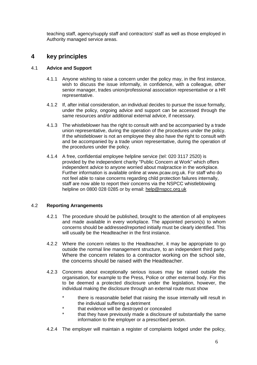teaching staff, agency/supply staff and contractors' staff as well as those employed in Authority managed service areas.

### **4 key principles**

#### 4.1 **Advice and Support**

- 4.1.1 Anyone wishing to raise a concern under the policy may, in the first instance, wish to discuss the issue informally, in confidence, with a colleague, other senior manager, trades union/professional association representative or a HR representative.
- 4.1.2 If, after initial consideration, an individual decides to pursue the issue formally, under the policy, ongoing advice and support can be accessed through the same resources and/or additional external advice, if necessary.
- 4.1.3 The whistleblower has the right to consult with and be accompanied by a trade union representative, during the operation of the procedures under the policy. If the whistleblower is not an employee they also have the right to consult with and be accompanied by a trade union representative, during the operation of the procedures under the policy.
- 4.1.4 A free, confidential employee helpline service (tel: 020 3117 2520) is provided by the independent charity "Public Concern at Work" which offers independent advice to anyone worried about malpractice in the workplace. Further information is available online at www.pcaw.org.uk. For staff who do not feel able to raise concerns regarding child protection failures internally, staff are now able to report their concerns via the NSPCC whistleblowing helpline on 0800 028 0285 or by email: [help@nspcc.org.uk](mailto:help@nspcc.org.uk)

#### 4.2 **Reporting Arrangements**

- 4.2.1 The procedure should be published, brought to the attention of all employees and made available in every workplace. The appointed person(s) to whom concerns should be addressed/reported initially must be clearly identified. This will usually be the Headteacher in the first instance.
- 4.2.2 Where the concern relates to the Headteacher, it may be appropriate to go outside the normal line management structure, to an independent third party. Where the concern relates to a contractor working on the school site, the concerns should be raised with the Headteacher.
- 4.2.3 Concerns about exceptionally serious issues may be raised outside the organisation, for example to the Press, Police or other external body. For this to be deemed a protected disclosure under the legislation, however, the individual making the disclosure through an external route must show
	- there is reasonable belief that raising the issue internally will result in the individual suffering a detriment
	- that evidence will be destroyed or concealed
	- that they have previously made a disclosure of substantially the same information to the employer or a prescribed person.
- 4.2.4 The employer will maintain a register of complaints lodged under the policy,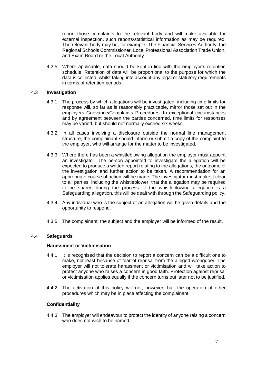report those complaints to the relevant body and will make available for external inspection, such reports/statistical information as may be required. The relevant body may be, for example: The Financial Services Authority, the Regional Schools Commissioner, Local Professional Association Trade Union, and Exam Board or the Local Authority.

4.2.5. Where applicable, data should be kept in line with the employer's retention schedule. Retention of data will be proportional to the purpose for which the data is collected, whilst taking into account any legal or statutory requirements in terms of retention periods.

#### 4.3 **Investigation**

- 4.3.1 The process by which allegations will be investigated, including time limits for response will, so far as is reasonably practicable, mirror those set out in the employers Grievance/Complaints Procedures. In exceptional circumstances and by agreement between the parties concerned, time limits for responses may be varied, but should not normally exceed six weeks.
- 4.3.2 In all cases involving a disclosure outside the normal line management structure, the complainant should inform or submit a copy of the complaint to the employer, who will arrange for the matter to be investigated.
- 4.3.3 Where there has been a whistleblowing allegation the employer must appoint an investigator. The person appointed to investigate the allegation will be expected to produce a written report relating to the allegations, the outcome of the investigation and further action to be taken. A recommendation for an appropriate course of action will be made. The investigator must make it clear to all parties, including the whistleblower, that the allegation may be required to be shared during the process. If the whistleblowing allegation is a Safeguarding allegation, this will be dealt with through the Safeguarding policy.
- 4.3.4 Any individual who is the subject of an allegation will be given details and the opportunity to respond.
- 4.3.5 The complainant, the subject and the employer will be informed of the result.

#### 4.4 **Safeguards**

#### **Harassment or Victimisation**

- 4.4.1 It is recognised that the decision to report a concern can be a difficult one to make, not least because of fear of reprisal from the alleged wrongdoer. The employer will not tolerate harassment or victimisation and will take action to protect anyone who raises a concern in good faith. Protection against reprisal or victimisation applies equally if the concern turns out later not to be justified.
- 4.4.2 The activation of this policy will not, however, halt the operation of other procedures which may be in place affecting the complainant.

#### **Confidentiality**

4.4.3 The employer will endeavour to protect the identity of anyone raising a concern who does not wish to be named.